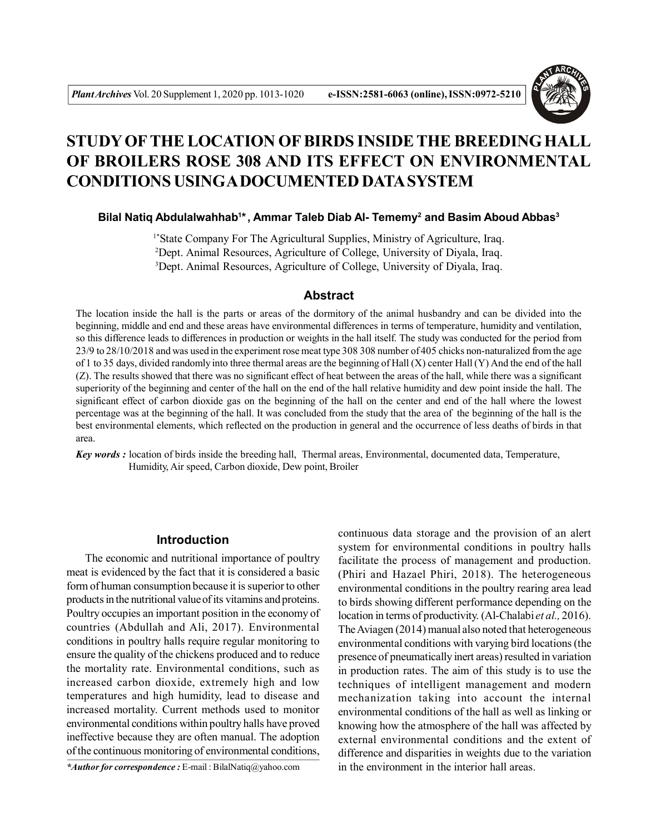

# **STUDY OFTHE LOCATION OF BIRDS INSIDE THE BREEDING HALL OF BROILERS ROSE 308 AND ITS EFFECT ON ENVIRONMENTAL CONDITIONS USINGA DOCUMENTED DATA SYSTEM**

**Bilal Natiq Abdulalwahhab<sup>1</sup> \*, Ammar Taleb Diab Al- Tememy<sup>2</sup> and Basim Aboud Abbas<sup>3</sup>**

1\*State Company For The Agricultural Supplies, Ministry of Agriculture, Iraq. <sup>2</sup>Dept. Animal Resources, Agriculture of College, University of Diyala, Iraq. <sup>3</sup>Dept. Animal Resources, Agriculture of College, University of Diyala, Iraq.

## **Abstract**

The location inside the hall is the parts or areas of the dormitory of the animal husbandry and can be divided into the beginning, middle and end and these areas have environmental differences in terms of temperature, humidity and ventilation, so this difference leads to differences in production or weights in the hall itself. The study was conducted for the period from 23/9 to 28/10/2018 and was used in the experiment rose meat type 308 308 number of 405 chicks non-naturalized from the age of 1 to 35 days, divided randomly into three thermal areas are the beginning of Hall (X) center Hall (Y) And the end of the hall (Z). The results showed that there was no significant effect of heat between the areas of the hall, while there was a significant superiority of the beginning and center of the hall on the end of the hall relative humidity and dew point inside the hall. The significant effect of carbon dioxide gas on the beginning of the hall on the center and end of the hall where the lowest percentage was at the beginning of the hall. It was concluded from the study that the area of the beginning of the hall is the best environmental elements, which reflected on the production in general and the occurrence of less deaths of birds in that area.

*Key words :* location of birds inside the breeding hall, Thermal areas, Environmental, documented data, Temperature, Humidity, Air speed, Carbon dioxide, Dew point, Broiler

# **Introduction**

The economic and nutritional importance of poultry meat is evidenced by the fact that it is considered a basic form of human consumption because it is superior to other products in the nutritional value of its vitamins and proteins. Poultry occupies an important position in the economy of countries (Abdullah and Ali, 2017). Environmental conditions in poultry halls require regular monitoring to ensure the quality of the chickens produced and to reduce the mortality rate. Environmental conditions, such as increased carbon dioxide, extremely high and low temperatures and high humidity, lead to disease and increased mortality. Current methods used to monitor environmental conditions within poultry halls have proved ineffective because they are often manual. The adoption of the continuous monitoring of environmental conditions,

*\*Author for correspondence :* E-mail : BilalNatiq@yahoo.com

continuous data storage and the provision of an alert system for environmental conditions in poultry halls facilitate the process of management and production. (Phiri and Hazael Phiri, 2018). The heterogeneous environmental conditions in the poultry rearing area lead to birds showing different performance depending on the location in terms of productivity. (Al-Chalabi *et al.,* 2016). The Aviagen (2014) manual also noted that heterogeneous environmental conditions with varying bird locations (the presence of pneumatically inert areas) resulted in variation in production rates. The aim of this study is to use the techniques of intelligent management and modern mechanization taking into account the internal environmental conditions of the hall as well as linking or knowing how the atmosphere of the hall was affected by external environmental conditions and the extent of difference and disparities in weights due to the variation in the environment in the interior hall areas.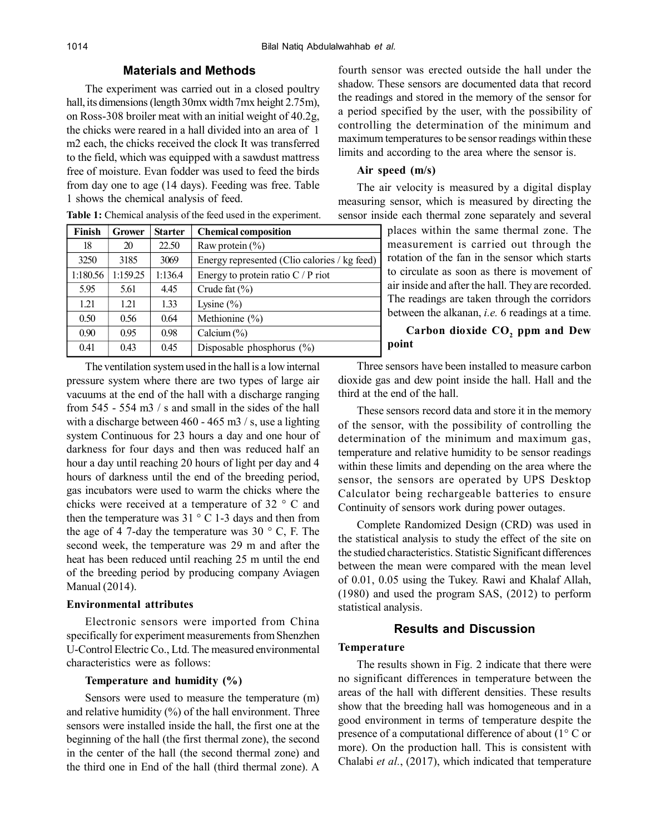### **Materials and Methods**

The experiment was carried out in a closed poultry hall, its dimensions (length 30mx width 7mx height 2.75m), on Ross-308 broiler meat with an initial weight of 40.2g, the chicks were reared in a hall divided into an area of 1 m2 each, the chicks received the clock It was transferred to the field, which was equipped with a sawdust mattress free of moisture. Evan fodder was used to feed the birds from day one to age (14 days). Feeding was free. Table 1 shows the chemical analysis of feed.

| Finish   | <b>Grower</b> | <b>Starter</b> | <b>Chemical composition</b>                  |
|----------|---------------|----------------|----------------------------------------------|
| 18       | 20            | 22.50          | Raw protein $(\% )$                          |
| 3250     | 3185          | 3069           | Energy represented (Clio calories / kg feed) |
| 1:180.56 | 1:159.25      | 1:136.4        | Energy to protein ratio $C / P$ riot         |
| 5.95     | 5.61          | 4.45           | Crude fat $(\% )$                            |
| 1.21     | 1.21          | 1.33           | Lysine $(\% )$                               |
| 0.50     | 0.56          | 0.64           | Methionine (%)                               |
| 0.90     | 0.95          | 0.98           | Calcium $(\% )$                              |
| 0.41     | 0.43          | 0.45           | Disposable phosphorus $(\% )$                |

**Table 1:** Chemical analysis of the feed used in the experiment.

The ventilation system used in the hall is a low internal pressure system where there are two types of large air vacuums at the end of the hall with a discharge ranging from 545 - 554 m3 / s and small in the sides of the hall with a discharge between 460 - 465 m3 / s, use a lighting system Continuous for 23 hours a day and one hour of darkness for four days and then was reduced half an hour a day until reaching 20 hours of light per day and 4 hours of darkness until the end of the breeding period, gas incubators were used to warm the chicks where the chicks were received at a temperature of 32 ° C and then the temperature was  $31 \degree$  C 1-3 days and then from the age of 4 7-day the temperature was 30  $\degree$  C, F. The second week, the temperature was 29 m and after the heat has been reduced until reaching 25 m until the end of the breeding period by producing company Aviagen Manual (2014).

### **Environmental attributes**

Electronic sensors were imported from China specifically for experiment measurements from Shenzhen U-Control Electric Co., Ltd. The measured environmental characteristics were as follows:

### **Temperature and humidity (%)**

Sensors were used to measure the temperature (m) and relative humidity  $(\%)$  of the hall environment. Three sensors were installed inside the hall, the first one at the beginning of the hall (the first thermal zone), the second in the center of the hall (the second thermal zone) and the third one in End of the hall (third thermal zone). A

fourth sensor was erected outside the hall under the shadow. These sensors are documented data that record the readings and stored in the memory of the sensor for a period specified by the user, with the possibility of controlling the determination of the minimum and maximum temperatures to be sensor readings within these limits and according to the area where the sensor is.

### **Air speed (m/s)**

The air velocity is measured by a digital display measuring sensor, which is measured by directing the sensor inside each thermal zone separately and several

> places within the same thermal zone. The measurement is carried out through the rotation of the fan in the sensor which starts to circulate as soon as there is movement of air inside and after the hall. They are recorded. The readings are taken through the corridors between the alkanan, *i.e.* 6 readings at a time.

# **Carbon dioxide CO<sup>2</sup> ppm and Dew point**

Three sensors have been installed to measure carbon dioxide gas and dew point inside the hall. Hall and the third at the end of the hall.

These sensors record data and store it in the memory of the sensor, with the possibility of controlling the determination of the minimum and maximum gas, temperature and relative humidity to be sensor readings within these limits and depending on the area where the sensor, the sensors are operated by UPS Desktop Calculator being rechargeable batteries to ensure Continuity of sensors work during power outages.

Complete Randomized Design (CRD) was used in the statistical analysis to study the effect of the site on the studied characteristics. Statistic Significant differences between the mean were compared with the mean level of 0.01, 0.05 using the Tukey. Rawi and Khalaf Allah, (1980) and used the program SAS, (2012) to perform statistical analysis.

# **Results and Discussion**

### **Temperature**

The results shown in Fig. 2 indicate that there were no significant differences in temperature between the areas of the hall with different densities. These results show that the breeding hall was homogeneous and in a good environment in terms of temperature despite the presence of a computational difference of about (1° C or more). On the production hall. This is consistent with Chalabi *et al.*, (2017), which indicated that temperature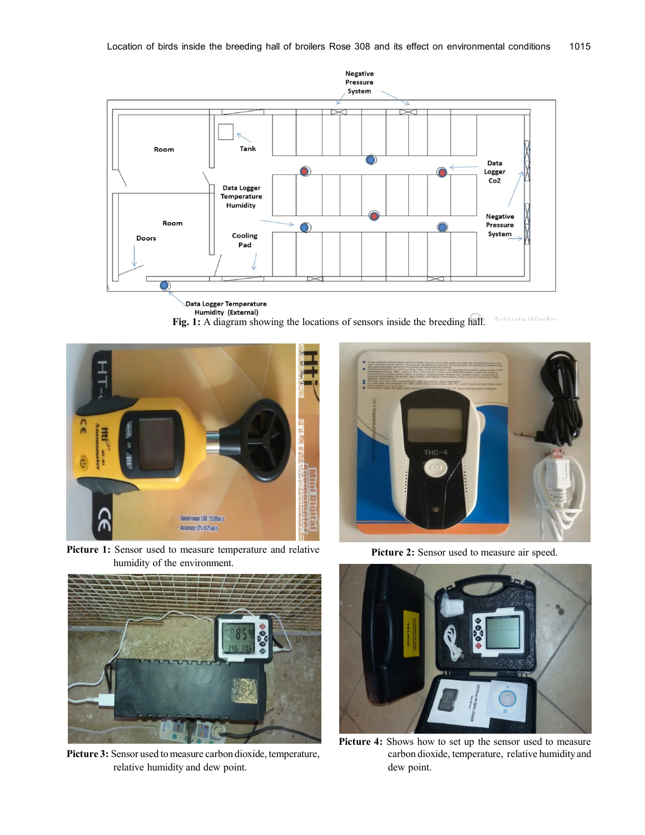

**Fig. 1:** A diagram showing the locations of sensors inside the breeding hall. Mindo



**Picture 1:** Sensor used to measure temperature and relative humidity of the environment.



**Picture 3:** Sensor used to measure carbon dioxide, temperature, relative humidity and dew point.



**Picture 2:** Sensor used to measure air speed.



Picture 4: Shows how to set up the sensor used to measure carbon dioxide, temperature, relative humidity and dew point.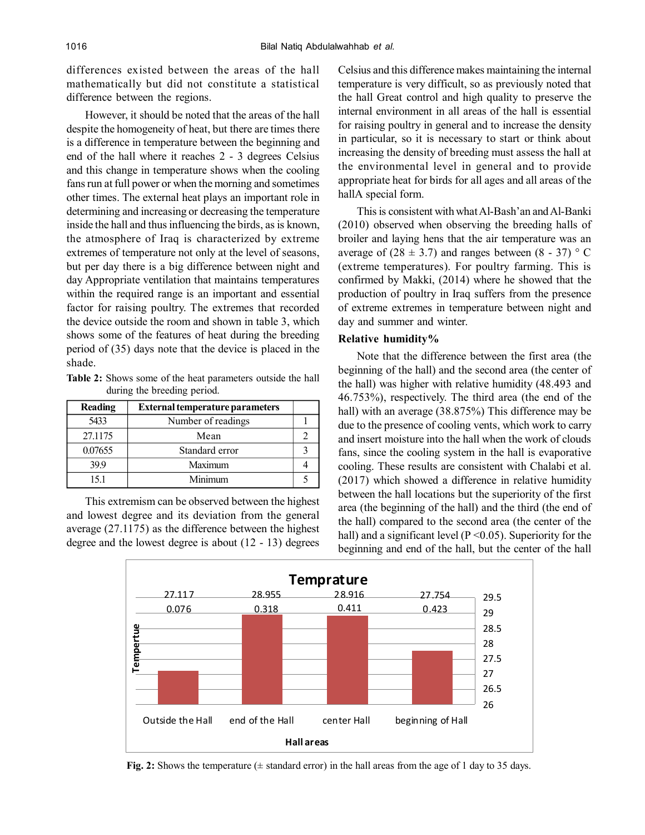differences existed between the areas of the hall mathematically but did not constitute a statistical difference between the regions.

However, it should be noted that the areas of the hall despite the homogeneity of heat, but there are times there is a difference in temperature between the beginning and end of the hall where it reaches 2 - 3 degrees Celsius and this change in temperature shows when the cooling fans run at full power or when the morning and sometimes other times. The external heat plays an important role in determining and increasing or decreasing the temperature inside the hall and thus influencing the birds, as is known, the atmosphere of Iraq is characterized by extreme extremes of temperature not only at the level of seasons, but per day there is a big difference between night and day Appropriate ventilation that maintains temperatures within the required range is an important and essential factor for raising poultry. The extremes that recorded the device outside the room and shown in table 3, which shows some of the features of heat during the breeding period of (35) days note that the device is placed in the shade.

**Table 2:** Shows some of the heat parameters outside the hall during the breeding period.

| Reading | <b>External temperature parameters</b> |  |
|---------|----------------------------------------|--|
| 5433    | Number of readings                     |  |
| 27.1175 | Mean                                   |  |
| 0.07655 | Standard error                         |  |
| 399     | Maximum                                |  |
| 15.1    | Minimum                                |  |

This extremism can be observed between the highest and lowest degree and its deviation from the general average (27.1175) as the difference between the highest degree and the lowest degree is about (12 - 13) degrees Celsius and this difference makes maintaining the internal temperature is very difficult, so as previously noted that the hall Great control and high quality to preserve the internal environment in all areas of the hall is essential for raising poultry in general and to increase the density in particular, so it is necessary to start or think about increasing the density of breeding must assess the hall at the environmental level in general and to provide appropriate heat for birds for all ages and all areas of the hallA special form.

This is consistent with what Al-Bash'an and Al-Banki (2010) observed when observing the breeding halls of broiler and laying hens that the air temperature was an average of  $(28 \pm 3.7)$  and ranges between  $(8 - 37)$  ° C (extreme temperatures). For poultry farming. This is confirmed by Makki, (2014) where he showed that the production of poultry in Iraq suffers from the presence of extreme extremes in temperature between night and day and summer and winter.

### **Relative humidity%**

Note that the difference between the first area (the beginning of the hall) and the second area (the center of the hall) was higher with relative humidity (48.493 and 46.753%), respectively. The third area (the end of the hall) with an average (38.875%) This difference may be due to the presence of cooling vents, which work to carry and insert moisture into the hall when the work of clouds fans, since the cooling system in the hall is evaporative cooling. These results are consistent with Chalabi et al. (2017) which showed a difference in relative humidity between the hall locations but the superiority of the first area (the beginning of the hall) and the third (the end of the hall) compared to the second area (the center of the hall) and a significant level ( $P \le 0.05$ ). Superiority for the beginning and end of the hall, but the center of the hall



**Fig. 2:** Shows the temperature  $(\pm$  standard error) in the hall areas from the age of 1 day to 35 days.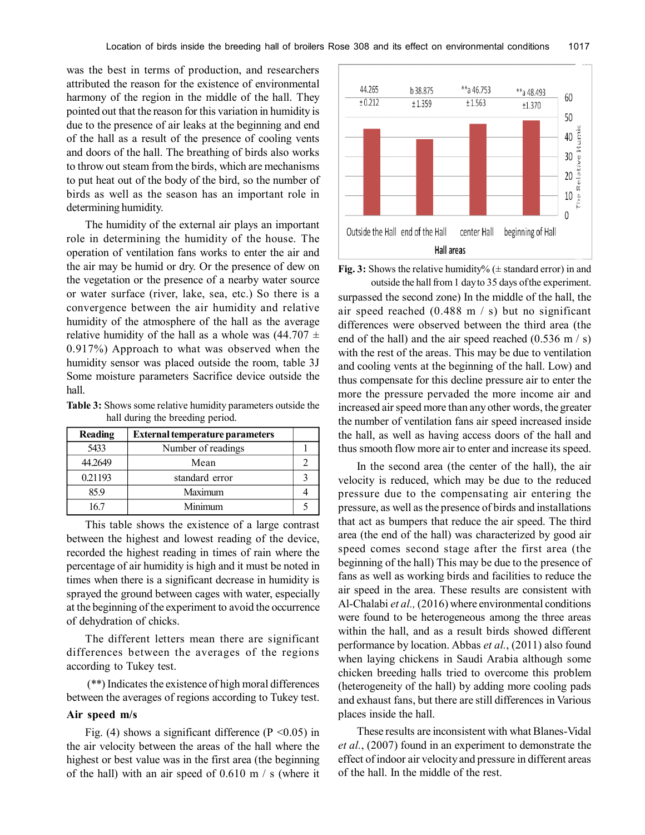was the best in terms of production, and researchers attributed the reason for the existence of environmental harmony of the region in the middle of the hall. They pointed out that the reason for this variation in humidity is due to the presence of air leaks at the beginning and end of the hall as a result of the presence of cooling vents and doors of the hall. The breathing of birds also works to throw out steam from the birds, which are mechanisms to put heat out of the body of the bird, so the number of birds as well as the season has an important role in determining humidity.

The humidity of the external air plays an important role in determining the humidity of the house. The operation of ventilation fans works to enter the air and the air may be humid or dry. Or the presence of dew on the vegetation or the presence of a nearby water source or water surface (river, lake, sea, etc.) So there is a convergence between the air humidity and relative humidity of the atmosphere of the hall as the average relative humidity of the hall as a whole was  $(44.707 \pm$ 0.917%) Approach to what was observed when the humidity sensor was placed outside the room, table 3J Some moisture parameters Sacrifice device outside the hall.

**Table 3:** Shows some relative humidity parameters outside the hall during the breeding period.

| <b>Reading</b> | <b>External temperature parameters</b> |  |
|----------------|----------------------------------------|--|
| 5433           | Number of readings                     |  |
| 44.2649        | Mean                                   |  |
| 0.21193        | standard error                         |  |
| 85.9           | Maximum                                |  |
| 167            | Minimum                                |  |

This table shows the existence of a large contrast between the highest and lowest reading of the device, recorded the highest reading in times of rain where the percentage of air humidity is high and it must be noted in times when there is a significant decrease in humidity is sprayed the ground between cages with water, especially at the beginning of the experiment to avoid the occurrence of dehydration of chicks.

The different letters mean there are significant differences between the averages of the regions according to Tukey test.

 (\*\*) Indicates the existence of high moral differences between the averages of regions according to Tukey test.

### **Air speed m/s**

Fig. (4) shows a significant difference ( $P \le 0.05$ ) in the air velocity between the areas of the hall where the highest or best value was in the first area (the beginning of the hall) with an air speed of  $0.610 \text{ m}$  / s (where it



**Fig. 3:** Shows the relative humidity% ( $\pm$  standard error) in and outside the hall from 1 day to 35 days of the experiment.

surpassed the second zone) In the middle of the hall, the air speed reached  $(0.488 \text{ m/s})$  but no significant differences were observed between the third area (the end of the hall) and the air speed reached  $(0.536 \text{ m/s})$ with the rest of the areas. This may be due to ventilation and cooling vents at the beginning of the hall. Low) and thus compensate for this decline pressure air to enter the more the pressure pervaded the more income air and increased air speed more than any other words, the greater the number of ventilation fans air speed increased inside the hall, as well as having access doors of the hall and thus smooth flow more air to enter and increase its speed.

In the second area (the center of the hall), the air velocity is reduced, which may be due to the reduced pressure due to the compensating air entering the pressure, as well as the presence of birds and installations that act as bumpers that reduce the air speed. The third area (the end of the hall) was characterized by good air speed comes second stage after the first area (the beginning of the hall) This may be due to the presence of fans as well as working birds and facilities to reduce the air speed in the area. These results are consistent with Al-Chalabi *et al.,* (2016) where environmental conditions were found to be heterogeneous among the three areas within the hall, and as a result birds showed different performance by location. Abbas *et al.*, (2011) also found when laying chickens in Saudi Arabia although some chicken breeding halls tried to overcome this problem (heterogeneity of the hall) by adding more cooling pads and exhaust fans, but there are still differences in Various places inside the hall.

These results are inconsistent with what Blanes-Vidal *et al.*, (2007) found in an experiment to demonstrate the effect of indoor air velocity and pressure in different areas of the hall. In the middle of the rest.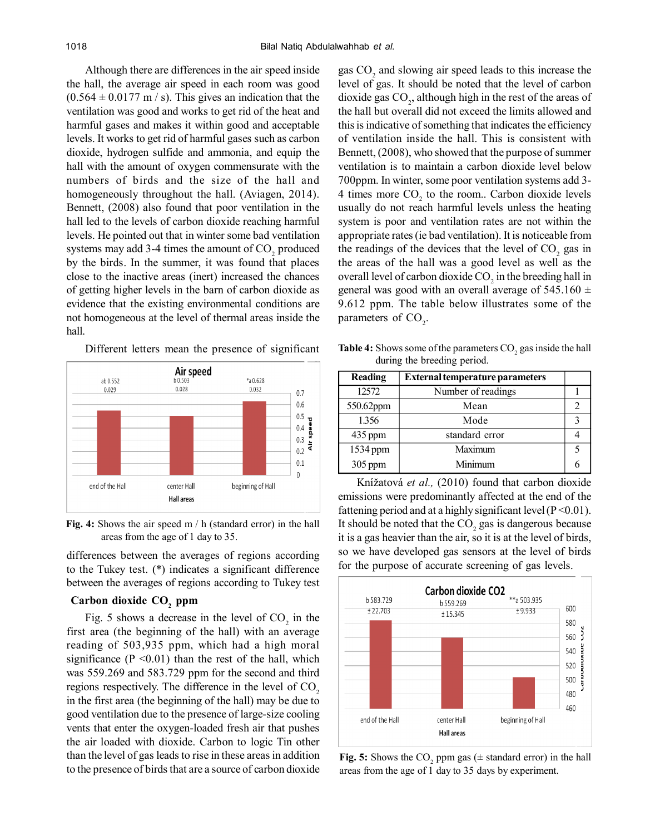Although there are differences in the air speed inside the hall, the average air speed in each room was good  $(0.564 \pm 0.0177 \text{ m/s})$ . This gives an indication that the ventilation was good and works to get rid of the heat and harmful gases and makes it within good and acceptable levels. It works to get rid of harmful gases such as carbon dioxide, hydrogen sulfide and ammonia, and equip the hall with the amount of oxygen commensurate with the numbers of birds and the size of the hall and homogeneously throughout the hall. (Aviagen, 2014). Bennett, (2008) also found that poor ventilation in the hall led to the levels of carbon dioxide reaching harmful levels. He pointed out that in winter some bad ventilation systems may add 3-4 times the amount of  $CO_2$  produced by the birds. In the summer, it was found that places close to the inactive areas (inert) increased the chances of getting higher levels in the barn of carbon dioxide as evidence that the existing environmental conditions are not homogeneous at the level of thermal areas inside the hall.

Different letters mean the presence of significant



**Fig. 4:** Shows the air speed m / h (standard error) in the hall areas from the age of 1 day to 35.

differences between the averages of regions according to the Tukey test. (\*) indicates a significant difference between the averages of regions according to Tukey test

# **Carbon dioxide CO<sup>2</sup> ppm**

Fig. 5 shows a decrease in the level of  $CO<sub>2</sub>$  in the first area (the beginning of the hall) with an average reading of 503,935 ppm, which had a high moral significance  $(P \le 0.01)$  than the rest of the hall, which was 559.269 and 583.729 ppm for the second and third regions respectively. The difference in the level of  $CO<sub>2</sub>$ in the first area (the beginning of the hall) may be due to good ventilation due to the presence of large-size cooling vents that enter the oxygen-loaded fresh air that pushes the air loaded with dioxide. Carbon to logic Tin other than the level of gas leads to rise in these areas in addition to the presence of birds that are a source of carbon dioxide

gas  $CO<sub>2</sub>$  and slowing air speed leads to this increase the level of gas. It should be noted that the level of carbon dioxide gas  $CO_2$ , although high in the rest of the areas of the hall but overall did not exceed the limits allowed and this is indicative of something that indicates the efficiency of ventilation inside the hall. This is consistent with Bennett, (2008), who showed that the purpose of summer ventilation is to maintain a carbon dioxide level below 700ppm. In winter, some poor ventilation systems add 3- 4 times more  $CO<sub>2</sub>$  to the room.. Carbon dioxide levels usually do not reach harmful levels unless the heating system is poor and ventilation rates are not within the appropriate rates (ie bad ventilation). It is noticeable from the readings of the devices that the level of  $CO<sub>2</sub>$  gas in the areas of the hall was a good level as well as the overall level of carbon dioxide  $\mathrm{CO}_2$  in the breeding hall in general was good with an overall average of  $545.160 \pm$ 9.612 ppm. The table below illustrates some of the parameters of  $CO<sub>2</sub>$ .

**Table 4:** Shows some of the parameters CO<sub>2</sub> gas inside the hall during the breeding period.

| <b>Reading</b> | <b>External temperature parameters</b> |  |
|----------------|----------------------------------------|--|
| 12572          | Number of readings                     |  |
| 550.62ppm      | Mean                                   |  |
| 1.356          | Mode                                   |  |
| 435 ppm        | standard error                         |  |
| 1534 ppm       | Maximum                                |  |
| $305$ ppm      | Minimum                                |  |

Knížatová *et al.,* (2010) found that carbon dioxide emissions were predominantly affected at the end of the fattening period and at a highly significant level ( $P \le 0.01$ ). It should be noted that the  $\mathrm{CO}_2$  gas is dangerous because it is a gas heavier than the air, so it is at the level of birds, so we have developed gas sensors at the level of birds for the purpose of accurate screening of gas levels.



**Fig. 5:** Shows the  $CO_2$  ppm gas ( $\pm$  standard error) in the hall areas from the age of 1 day to 35 days by experiment.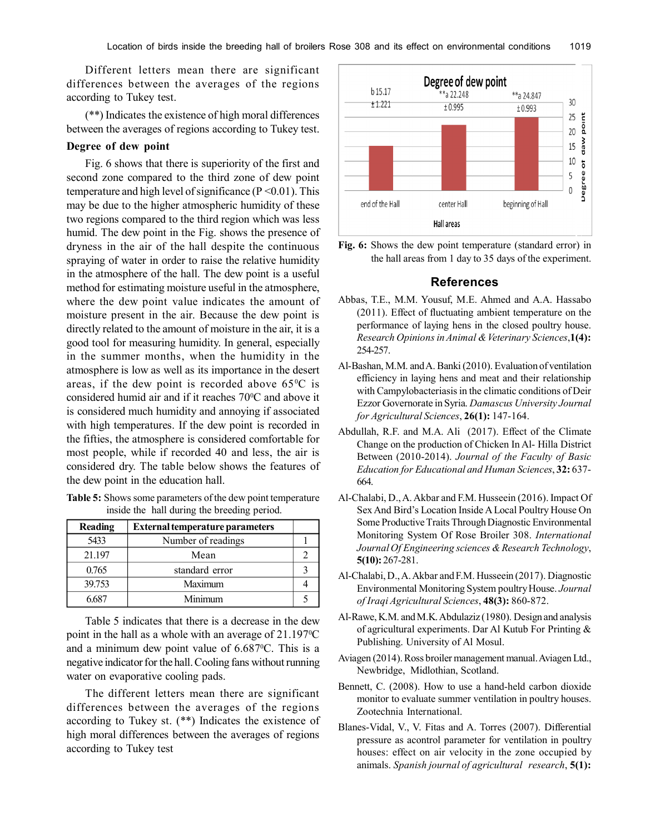Different letters mean there are significant differences between the averages of the regions according to Tukey test.

(\*\*) Indicates the existence of high moral differences between the averages of regions according to Tukey test.

### **Degree of dew point**

Fig. 6 shows that there is superiority of the first and second zone compared to the third zone of dew point temperature and high level of significance ( $P < 0.01$ ). This may be due to the higher atmospheric humidity of these two regions compared to the third region which was less humid. The dew point in the Fig. shows the presence of dryness in the air of the hall despite the continuous spraying of water in order to raise the relative humidity in the atmosphere of the hall. The dew point is a useful method for estimating moisture useful in the atmosphere, where the dew point value indicates the amount of moisture present in the air. Because the dew point is directly related to the amount of moisture in the air, it is a good tool for measuring humidity. In general, especially in the summer months, when the humidity in the atmosphere is low as well as its importance in the desert areas, if the dew point is recorded above  $65^{\circ}$ C is considered humid air and if it reaches  $70^{\circ}$ C and above it is considered much humidity and annoying if associated with high temperatures. If the dew point is recorded in the fifties, the atmosphere is considered comfortable for most people, while if recorded 40 and less, the air is considered dry. The table below shows the features of the dew point in the education hall.

|  |                                             | <b>Table 5:</b> Shows some parameters of the dew point temperature |
|--|---------------------------------------------|--------------------------------------------------------------------|
|  | inside the hall during the breeding period. |                                                                    |

| <b>Reading</b> | <b>External temperature parameters</b> |  |
|----------------|----------------------------------------|--|
| 5433           | Number of readings                     |  |
| 21.197         | Mean                                   |  |
| 0.765          | standard error                         |  |
| 39.753         | Maximum                                |  |
| 5687           | Minimum                                |  |

Table 5 indicates that there is a decrease in the dew point in the hall as a whole with an average of  $21.197^{\circ}$ C and a minimum dew point value of  $6.687^{\circ}$ C. This is a negative indicator for the hall. Cooling fans without running water on evaporative cooling pads.

The different letters mean there are significant differences between the averages of the regions according to Tukey st. (\*\*) Indicates the existence of high moral differences between the averages of regions according to Tukey test



**Fig. 6:** Shows the dew point temperature (standard error) in the hall areas from 1 day to 35 days of the experiment.

#### **References**

- Abbas, T.E., M.M. Yousuf, M.E. Ahmed and A.A. Hassabo (2011). Effect of fluctuating ambient temperature on the performance of laying hens in the closed poultry house. *Research Opinions in Animal & Veterinary Sciences*,**1(4):** 254-257.
- Al-Bashan, M.M. and A. Banki (2010). Evaluation of ventilation efficiency in laying hens and meat and their relationship with Campylobacteriasis in the climatic conditions of Deir Ezzor Governorate in Syria. *Damascus University Journal for Agricultural Sciences*, **26(1):** 147-164.
- Abdullah, R.F. and M.A. Ali (2017). Effect of the Climate Change on the production of Chicken In Al- Hilla District Between (2010-2014). *Journal of the Faculty of Basic Education for Educational and Human Sciences*, **32:** 637- 664.
- Al-Chalabi, D., A. Akbar and F.M. Husseein (2016). Impact Of Sex And Bird's Location Inside A Local Poultry House On Some Productive Traits Through Diagnostic Environmental Monitoring System Of Rose Broiler 308. *International Journal Of Engineering sciences & Research Technology*, **5(10):** 267-281.
- Al-Chalabi, D., A. Akbar and F.M. Husseein (2017). Diagnostic Environmental Monitoring System poultry House. *Journal of Iraqi Agricultural Sciences*, **48(3):** 860-872.
- Al-Rawe, K.M. and M.K. Abdulaziz (1980). Design and analysis of agricultural experiments. Dar Al Kutub For Printing & Publishing. University of Al Mosul.
- Aviagen (2014). Ross broiler management manual. Aviagen Ltd., Newbridge, Midlothian, Scotland.
- Bennett, C. (2008). How to use a hand-held carbon dioxide monitor to evaluate summer ventilation in poultry houses. Zootechnia International.
- Blanes-Vidal, V., V. Fitas and A. Torres (2007). Differential pressure as acontrol parameter for ventilation in poultry houses: effect on air velocity in the zone occupied by animals. *Spanish journal of agricultural research*, **5(1):**